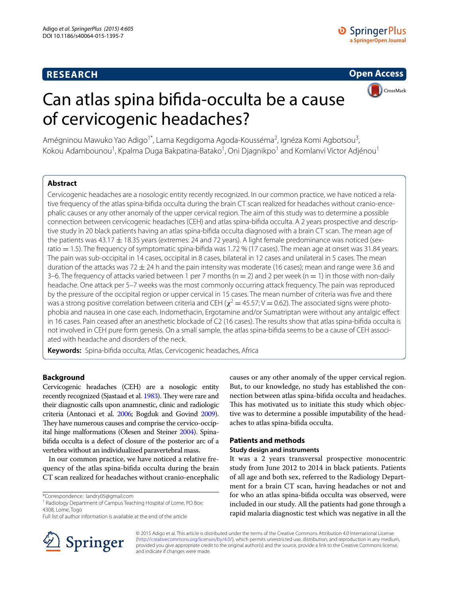# **RESEARCH**

**D** Springer Plus a SpringerOpen Journal

# **Open Access**



# Can atlas spina bifida-occulta be a cause of cervicogenic headaches?

Amégninou Mawuko Yao Adigo<sup>1\*</sup>, Lama Kegdigoma Agoda-Kousséma<sup>2</sup>, Ignéza Komi Agbotsou<sup>3</sup>, Kokou Adambounou<sup>1</sup>, Kpalma Duga Bakpatina-Batako<sup>1</sup>, Oni Djagnikpo<sup>1</sup> and Komlanvi Victor Adjénou<sup>1</sup>

# **Abstract**

Cervicogenic headaches are a nosologic entity recently recognized. In our common practice, we have noticed a relative frequency of the atlas spina-bifida occulta during the brain CT scan realized for headaches without cranio-encephalic causes or any other anomaly of the upper cervical region. The aim of this study was to determine a possible connection between cervicogenic headaches (CEH) and atlas spina-bifida occulta. A 2 years prospective and descriptive study in 20 black patients having an atlas spina-bifida occulta diagnosed with a brain CT scan. The mean age of the patients was 43.17  $\pm$  18.35 years (extremes: 24 and 72 years). A light female predominance was noticed (sexratio = 1.5). The frequency of symptomatic spina-bifida was 1.72 % (17 cases). The mean age at onset was 31.84 years. The pain was sub-occipital in 14 cases, occipital in 8 cases, bilateral in 12 cases and unilateral in 5 cases. The mean duration of the attacks was 72  $\pm$  24 h and the pain intensity was moderate (16 cases); mean and range were 3.6 and 3–6. The frequency of attacks varied between 1 per 7 months ( $n = 2$ ) and 2 per week ( $n = 1$ ) in those with non-daily headache. One attack per 5–7 weeks was the most commonly occurring attack frequency. The pain was reproduced by the pressure of the occipital region or upper cervical in 15 cases. The mean number of criteria was five and there was a strong positive correlation between criteria and CEH ( $\chi^2$  = 45.57; V = 0.62). The associated signs were photophobia and nausea in one case each. Indomethacin, Ergotamine and/or Sumatriptan were without any antalgic effect in 16 cases. Pain ceased after an anesthetic blockade of C2 (16 cases). The results show that atlas spina-bifida occulta is not involved in CEH pure form genesis. On a small sample, the atlas spina-bifida seems to be a cause of CEH associated with headache and disorders of the neck.

**Keywords:** Spina-bifida occulta, Atlas, Cervicogenic headaches, Africa

# **Background**

Cervicogenic headaches (CEH) are a nosologic entity recently recognized (Sjastaad et al. [1983](#page-4-0)). They were rare and their diagnostic calls upon anamnestic, clinic and radiologic criteria (Antonaci et al. [2006](#page-4-1); Bogduk and Govind [2009](#page-4-2)). They have numerous causes and comprise the cervico-occipital hinge malformations (Olesen and Steiner [2004](#page-4-3)). Spinabifida occulta is a defect of closure of the posterior arc of a vertebra without an individualized paravertebral mass.

In our common practice, we have noticed a relative frequency of the atlas spina-bifida occulta during the brain CT scan realized for headaches without cranio-encephalic

\*Correspondence: landry05@gmail.com



## **Patients and methods**

### **Study design and instruments**

It was a 2 years transversal prospective monocentric study from June 2012 to 2014 in black patients. Patients of all age and both sex, referred to the Radiology Department for a brain CT scan, having headaches or not and for who an atlas spina-bifida occulta was observed, were included in our study. All the patients had gone through a rapid malaria diagnostic test which was negative in all the



© 2015 Adigo et al. This article is distributed under the terms of the Creative Commons Attribution 4.0 International License [\(http://creativecommons.org/licenses/by/4.0/\)](http://creativecommons.org/licenses/by/4.0/), which permits unrestricted use, distribution, and reproduction in any medium, provided you give appropriate credit to the original author(s) and the source, provide a link to the Creative Commons license, and indicate if changes were made.

<sup>&</sup>lt;sup>1</sup> Radiology Department of Campus Teaching Hospital of Lome, PO Box: 4308, Lome, Togo

Full list of author information is available at the end of the article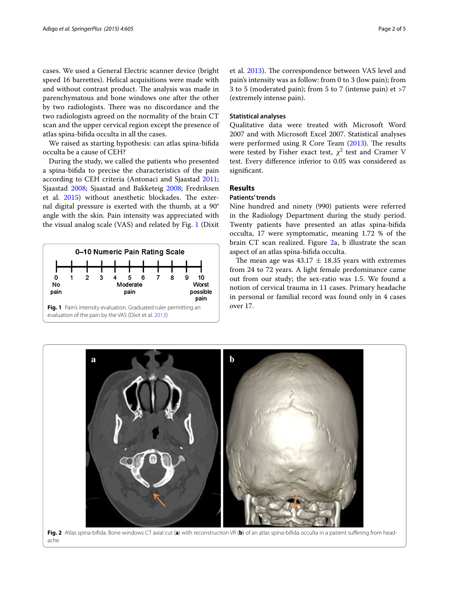cases. We used a General Electric scanner device (bright speed 16 barrettes). Helical acquisitions were made with and without contrast product. The analysis was made in parenchymatous and bone windows one after the other by two radiologists. There was no discordance and the two radiologists agreed on the normality of the brain CT scan and the upper cervical region except the presence of atlas spina-bifida occulta in all the cases.

We raised as starting hypothesis: can atlas spina-bifida occulta be a cause of CEH?

During the study, we called the patients who presented a spina-bifida to precise the characteristics of the pain according to CEH criteria (Antonaci and Sjaastad [2011](#page-4-4); Sjaastad [2008;](#page-4-5) Sjaastad and Bakketeig [2008](#page-4-6); Fredriksen et al. [2015](#page-4-7)) without anesthetic blockades. The external digital pressure is exerted with the thumb, at a 90° angle with the skin. Pain intensity was appreciated with the visual analog scale (VAS) and related by Fig. [1](#page-1-0) (Dixit



et al. [2013\)](#page-4-8). The correspondence between VAS level and pain's intensity was as follow: from 0 to 3 (low pain); from 3 to 5 (moderated pain); from 5 to 7 (intense pain) et >7 (extremely intense pain).

#### **Statistical analyses**

Qualitative data were treated with Microsoft Word 2007 and with Microsoft Excel 2007. Statistical analyses were performed using R Core Team ([2013](#page-4-9)). The results were tested by Fisher exact test,  $\chi^2$  test and Cramer V test. Every difference inferior to 0.05 was considered as significant.

# **Results**

#### **Patients' trends**

Nine hundred and ninety (990) patients were referred in the Radiology Department during the study period. Twenty patients have presented an atlas spina-bifida occulta, 17 were symptomatic, meaning 1.72 % of the brain CT scan realized. Figure [2](#page-1-1)a, b illustrate the scan aspect of an atlas spina-bifida occulta.

The mean age was  $43.17 \pm 18.35$  years with extremes from 24 to 72 years. A light female predominance came out from our study; the sex-ratio was 1.5. We found a notion of cervical trauma in 11 cases. Primary headache in personal or familial record was found only in 4 cases

<span id="page-1-1"></span><span id="page-1-0"></span>

**Fig. 2** Atlas spina-bifida. Bone windows CT axial cut (**a**) with reconstruction VR (**b**) of an atlas spina-bifida occulta in a patient suffering from head‑ ache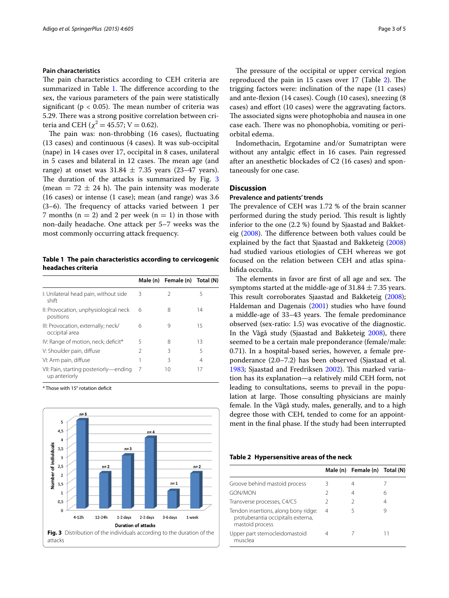## **Pain characteristics**

The pain characteristics according to CEH criteria are summarized in Table [1](#page-2-0). The difference according to the sex, the various parameters of the pain were statistically significant ( $p < 0.05$ ). The mean number of criteria was 5.29. There was a strong positive correlation between criteria and CEH ( $\chi^2$  = 45.57; V = 0.62).

The pain was: non-throbbing (16 cases), fluctuating (13 cases) and continuous (4 cases). It was sub-occipital (nape) in 14 cases over 17, occipital in 8 cases, unilateral in 5 cases and bilateral in 12 cases. The mean age (and range) at onset was  $31.84 \pm 7.35$  years (23–47 years). The duration of the attacks is summarized by Fig. [3](#page-2-1) (mean  $= 72 \pm 24$  h). The pain intensity was moderate (16 cases) or intense (1 case); mean (and range) was 3.6 (3–6). The frequency of attacks varied between 1 per 7 months ( $n = 2$ ) and 2 per week ( $n = 1$ ) in those with non-daily headache. One attack per 5–7 weeks was the most commonly occurring attack frequency.

<span id="page-2-0"></span>**Table 1 The pain characteristics according to cervicogenic headaches criteria**

|                                                         |               | Male (n) Female (n) Total (N) |    |
|---------------------------------------------------------|---------------|-------------------------------|----|
| I: Unilateral head pain, without side<br>shift          | ζ             | 2                             | 5  |
| II: Provocation, unphysiological neck<br>positions      | 6             | 8                             | 14 |
| III: Provocation, externally; neck/<br>occipital area   | 6             | 9                             | 15 |
| IV: Range of motion, neck; deficit*                     | 5             | 8                             | 13 |
| V: Shoulder pain, diffuse                               | $\mathcal{P}$ | 3                             | 5  |
| VI: Arm pain, diffuse                                   |               | ζ                             | 4  |
| VII: Pain, starting posteriorly—ending<br>up anteriorly | 7             | 10                            | 17 |

\* Those with 15° rotation deficit

<span id="page-2-1"></span>

The pressure of the occipital or upper cervical region reproduced the pain in 15 cases over 17 (Table [2](#page-2-2)). The trigging factors were: inclination of the nape (11 cases) and ante-flexion (14 cases). Cough (10 cases), sneezing (8 cases) and effort (10 cases) were the aggravating factors. The associated signs were photophobia and nausea in one case each. There was no phonophobia, vomiting or periorbital edema.

Indomethacin, Ergotamine and/or Sumatriptan were without any antalgic effect in 16 cases. Pain regressed after an anesthetic blockades of C2 (16 cases) and spontaneously for one case.

# **Discussion**

#### **Prevalence and patients' trends**

The prevalence of CEH was 1.72 % of the brain scanner performed during the study period. This result is lightly inferior to the one (2.2 %) found by Sjaastad and Bakketeig [\(2008\)](#page-4-6). The difference between both values could be explained by the fact that Sjaastad and Bakketeig ([2008](#page-4-6)) had studied various etiologies of CEH whereas we got focused on the relation between CEH and atlas spinabifida occulta.

The elements in favor are first of all age and sex. The symptoms started at the middle-age of  $31.84 \pm 7.35$  years. This result corroborates Sjaastad and Bakketeig ([2008](#page-4-6)); Haldeman and Dagenais [\(2001\)](#page-4-10) studies who have found a middle-age of 33–43 years. The female predominance observed (sex-ratio: 1.5) was evocative of the diagnostic. In the Vågå study (Sjaastad and Bakketeig [2008\)](#page-4-6), there seemed to be a certain male preponderance (female/male: 0.71). In a hospital-based series, however, a female preponderance (2.0–7.2) has been observed (Sjastaad et al. [1983](#page-4-0); Sjaastad and Fredriksen [2002](#page-4-11)). This marked variation has its explanation—a relatively mild CEH form, not leading to consultations, seems to prevail in the population at large. Those consulting physicians are mainly female. In the Vågå study, males, generally, and to a high degree those with CEH, tended to come for an appointment in the final phase. If the study had been interrupted

<span id="page-2-2"></span>

|  | Table 2 Hypersensitive areas of the neck |  |  |  |
|--|------------------------------------------|--|--|--|
|--|------------------------------------------|--|--|--|

|                                                                                               |   | Male (n) Female (n) Total (N) |   |
|-----------------------------------------------------------------------------------------------|---|-------------------------------|---|
| Groove behind mastoid process                                                                 | ζ | 4                             |   |
| <b>GON/MON</b>                                                                                |   | 4                             | 6 |
| Transverse processes, C4/C5                                                                   |   | $\mathcal{P}$                 | 4 |
| Tendon insertions, along bony ridge:<br>protuberantia occipitalis externa,<br>mastoid process | 4 | 5                             |   |
| Upper part sternocleidomastoid<br>musclea                                                     |   |                               |   |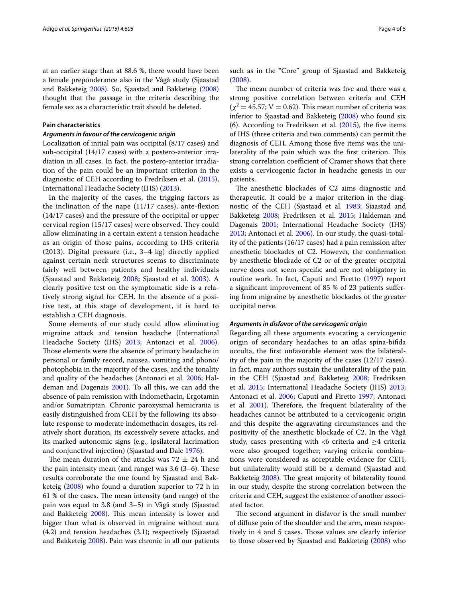at an earlier stage than at 88.6 %, there would have been a female preponderance also in the Vågå study (Sjaastad and Bakketeig [2008\)](#page-4-6). So, Sjaastad and Bakketeig ([2008](#page-4-6)) thought that the passage in the criteria describing the female sex as a characteristic trait should be deleted.

## **Pain characteristics**

#### *Arguments in favour of the cervicogenic origin*

Localization of initial pain was occipital (8/17 cases) and sub-occipital (14/17 cases) with a postero-anterior irradiation in all cases. In fact, the postero-anterior irradiation of the pain could be an important criterion in the diagnostic of CEH according to Fredriksen et al. [\(2015](#page-4-7)), International Headache Society (IHS) [\(2013\)](#page-4-12).

In the majority of the cases, the trigging factors as the inclination of the nape (11/17 cases), ante-flexion (14/17 cases) and the pressure of the occipital or upper cervical region (15/17 cases) were observed. They could allow eliminating in a certain extent a tension headache as an origin of those pains, according to IHS criteria (2013). Digital pressure (i.e., 3–4 kg) directly applied against certain neck structures seems to discriminate fairly well between patients and healthy individuals (Sjaastad and Bakketeig [2008](#page-4-6); Sjaastad et al. [2003\)](#page-4-13). A clearly positive test on the symptomatic side is a relatively strong signal for CEH. In the absence of a positive test, at this stage of development, it is hard to establish a CEH diagnosis.

Some elements of our study could allow eliminating migraine attack and tension headache (International Headache Society (IHS) [2013;](#page-4-12) Antonaci et al. [2006](#page-4-1)). Those elements were the absence of primary headache in personal or family record, nausea, vomiting and phono/ photophobia in the majority of the cases, and the tonality and quality of the headaches (Antonaci et al. [2006;](#page-4-1) Haldeman and Dagenais [2001\)](#page-4-10). To all this, we can add the absence of pain remission with Indomethacin, Ergotamin and/or Sumatriptan. Chronic paroxysmal hemicrania is easily distinguished from CEH by the following: its absolute response to moderate indomethacin dosages, its relatively short duration, its excessively severe attacks, and its marked autonomic signs (e.g., ipsilateral lacrimation and conjunctival injection) (Sjaastad and Dale [1976](#page-4-14)).

The mean duration of the attacks was  $72 \pm 24$  h and the pain intensity mean (and range) was 3.6 (3–6). These results corroborate the one found by Sjaastad and Bakketeig ([2008\)](#page-4-6) who found a duration superior to 72 h in 61 % of the cases. The mean intensity (and range) of the pain was equal to 3.8 (and 3–5) in Vågå study (Sjaastad and Bakketeig [2008\)](#page-4-6). This mean intensity is lower and bigger than what is observed in migraine without aura (4.2) and tension headaches (3.1); respectively (Sjaastad and Bakketeig [2008\)](#page-4-6). Pain was chronic in all our patients

such as in the "Core" group of Sjaastad and Bakketeig ([2008\)](#page-4-6).

The mean number of criteria was five and there was a strong positive correlation between criteria and CEH  $(\chi^2 = 45.57; V = 0.62)$ . This mean number of criteria was inferior to Sjaastad and Bakketeig [\(2008](#page-4-6)) who found six (6). According to Fredriksen et al. ([2015](#page-4-7)), the five items of IHS (three criteria and two comments) can permit the diagnosis of CEH. Among those five items was the unilaterality of the pain which was the first criterion. This strong correlation coefficient of Cramer shows that there exists a cervicogenic factor in headache genesis in our patients.

The anesthetic blockades of C2 aims diagnostic and therapeutic. It could be a major criterion in the diagnostic of the CEH (Sjastaad et al. [1983](#page-4-0); Sjaastad and Bakketeig [2008;](#page-4-6) Fredriksen et al. [2015;](#page-4-7) Haldeman and Dagenais [2001](#page-4-10); International Headache Society (IHS) [2013](#page-4-12); Antonaci et al. [2006\)](#page-4-1). In our study, the quasi-totality of the patients (16/17 cases) had a pain remission after anesthetic blockades of C2. However, the confirmation by anesthetic blockade of C2 or of the greater occipital nerve does not seem specific and are not obligatory in routine work. In fact, Caputi and Firetto ([1997\)](#page-4-15) report a significant improvement of 85 % of 23 patients suffering from migraine by anesthetic blockades of the greater occipital nerve.

#### *Arguments in disfavor of the cervicogenic origin*

Regarding all these arguments evocating a cervicogenic origin of secondary headaches to an atlas spina-bifida occulta, the first unfavorable element was the bilaterality of the pain in the majority of the cases (12/17 cases). In fact, many authors sustain the unilaterality of the pain in the CEH (Sjaastad and Bakketeig [2008](#page-4-6); Fredriksen et al. [2015](#page-4-7); International Headache Society (IHS) [2013](#page-4-12); Antonaci et al. [2006](#page-4-1); Caputi and Firetto [1997](#page-4-15); Antonaci et al. [2001\)](#page-4-16). Therefore, the frequent bilaterality of the headaches cannot be attributed to a cervicogenic origin and this despite the aggravating circumstances and the positivity of the anesthetic blockade of C2. In the Vågå study, cases presenting with <6 criteria and  $\geq$ 4 criteria were also grouped together; varying criteria combinations were considered as acceptable evidence for CEH, but unilaterality would still be a demand (Sjaastad and Bakketeig [2008](#page-4-6)). The great majority of bilaterality found in our study, despite the strong correlation between the criteria and CEH, suggest the existence of another associated factor.

The second argument in disfavor is the small number of diffuse pain of the shoulder and the arm, mean respectively in 4 and 5 cases. Those values are clearly inferior to those observed by Sjaastad and Bakketeig [\(2008\)](#page-4-6) who